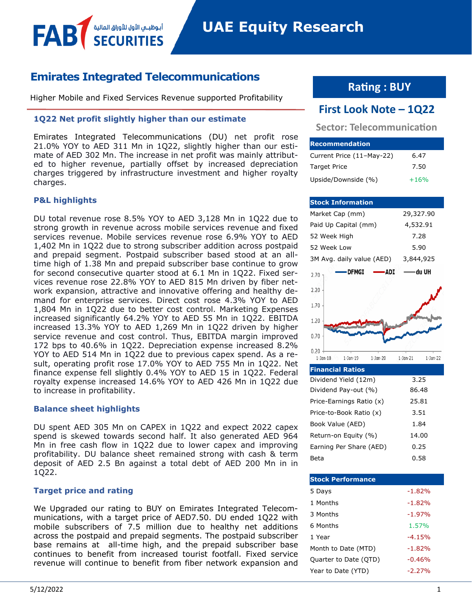# **Emirates Integrated Telecommunications**

أبوظبــي الأول للأوراق المالا

Higher Mobile and Fixed Services Revenue supported Profitability

## **1Q22 Net profit slightly higher than our estimate**

Emirates Integrated Telecommunications (DU) net profit rose 21.0% YOY to AED 311 Mn in 1Q22, slightly higher than our estimate of AED 302 Mn. The increase in net profit was mainly attributed to higher revenue, partially offset by increased depreciation charges triggered by infrastructure investment and higher royalty charges.

## **P&L highlights**

FAB

DU total revenue rose 8.5% YOY to AED 3,128 Mn in 1Q22 due to strong growth in revenue across mobile services revenue and fixed services revenue. Mobile services revenue rose 6.9% YOY to AED 1,402 Mn in 1Q22 due to strong subscriber addition across postpaid and prepaid segment. Postpaid subscriber based stood at an alltime high of 1.38 Mn and prepaid subscriber base continue to grow for second consecutive quarter stood at 6.1 Mn in 1Q22. Fixed services revenue rose 22.8% YOY to AED 815 Mn driven by fiber network expansion, attractive and innovative offering and healthy demand for enterprise services. Direct cost rose 4.3% YOY to AED 1,804 Mn in 1Q22 due to better cost control. Marketing Expenses increased significantly 64.2% YOY to AED 55 Mn in 1Q22. EBITDA increased 13.3% YOY to AED 1,269 Mn in 1Q22 driven by higher service revenue and cost control. Thus, EBITDA margin improved 172 bps to 40.6% in 1Q22. Depreciation expense increased 8.2% YOY to AED 514 Mn in 1Q22 due to previous capex spend. As a result, operating profit rose 17.0% YOY to AED 755 Mn in 1Q22. Net finance expense fell slightly 0.4% YOY to AED 15 in 1Q22. Federal royalty expense increased 14.6% YOY to AED 426 Mn in 1Q22 due to increase in profitability.

## **Balance sheet highlights**

DU spent AED 305 Mn on CAPEX in 1Q22 and expect 2022 capex spend is skewed towards second half. It also generated AED 964 Mn in free cash flow in 1Q22 due to lower capex and improving profitability. DU balance sheet remained strong with cash & term deposit of AED 2.5 Bn against a total debt of AED 200 Mn in in 1Q22.

## **Target price and rating**

We Upgraded our rating to BUY on Emirates Integrated Telecommunications, with a target price of AED7.50. DU ended 1Q22 with mobile subscribers of 7.5 million due to healthy net additions across the postpaid and prepaid segments. The postpaid subscriber base remains at all-time high, and the prepaid subscriber base continues to benefit from increased tourist footfall. Fixed service revenue will continue to benefit from fiber network expansion and

# **Rating : BUY**

# **First Look Note – 1Q22**

# **Sector: Telecommunication**

| <b>IRecommendation</b>    |        |
|---------------------------|--------|
| Current Price (11-May-22) | 6.47   |
| <b>Target Price</b>       | 7.50   |
| Upside/Downside (%)       | $+16%$ |

| <b>Stock Information</b>                                |                              |
|---------------------------------------------------------|------------------------------|
| Market Cap (mm)                                         | 29,327.90                    |
| Paid Up Capital (mm)                                    | 4,532.91                     |
| 52 Week High                                            | 7.28                         |
| 52 Week Low                                             | 5.90                         |
| 3M Avg. daily value (AED)                               | 3,844,925                    |
| •DFMGI<br><b>ADI</b><br>2.70                            | — du UH                      |
| 2.20                                                    |                              |
| 1.70                                                    |                              |
| 1.20                                                    |                              |
| 0.70                                                    |                              |
| 0.20<br>$1-$ Jan $-19$<br>$1$ -Jan-20<br>$1$ -Jan- $18$ | $1$ -Jan- $21$<br>$1-Jan-22$ |
| <b>Financial Ratios</b>                                 |                              |
|                                                         |                              |
| Dividend Yield (12m)                                    | 3.25                         |
| Dividend Pay-out (%)                                    | 86.48                        |
| Price-Earnings Ratio (x)                                | 25.81                        |
| Price-to-Book Ratio (x)                                 | 3.51                         |
| Book Value (AED)                                        | 1.84                         |
| Return-on Equity (%)                                    | 14.00                        |
| Earning Per Share (AED)                                 | 0.25                         |

| <b>Stock Performance</b> |          |
|--------------------------|----------|
| 5 Days                   | $-1.82%$ |
| 1 Months                 | $-1.82%$ |
| 3 Months                 | $-1.97%$ |
| 6 Months                 | 1.57%    |
| 1 Year                   | $-4.15%$ |
| Month to Date (MTD)      | $-1.82%$ |
| Quarter to Date (QTD)    | $-0.46%$ |
| Year to Date (YTD)       | $-2.27%$ |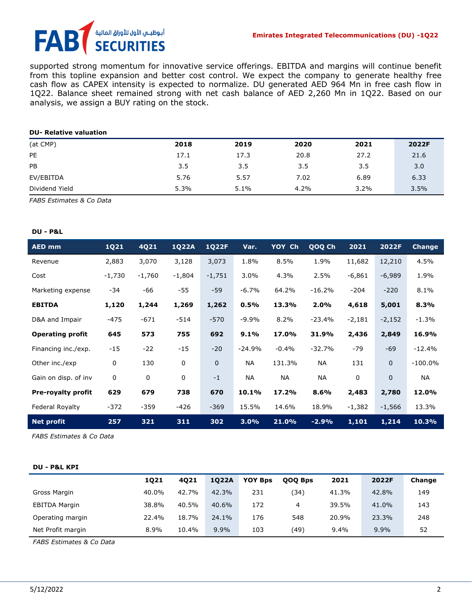# أبوظبــي الأول للأوراق المالية FA **SECURITIES**

supported strong momentum for innovative service offerings. EBITDA and margins will continue benefit from this topline expansion and better cost control. We expect the company to generate healthy free cash flow as CAPEX intensity is expected to normalize. DU generated AED 964 Mn in free cash flow in 1Q22. Balance sheet remained strong with net cash balance of AED 2,260 Mn in 1Q22. Based on our analysis, we assign a BUY rating on the stock.

#### **DU- Relative valuation**

| (at CMP)       | 2018 | 2019 | 2020 | 2021 | 2022F |
|----------------|------|------|------|------|-------|
| PE             | 17.1 | 17.3 | 20.8 | 27.2 | 21.6  |
| PB             | 3.5  | 3.5  | 3.5  | 3.5  | 3.0   |
| EV/EBITDA      | 5.76 | 5.57 | 7.02 | 6.89 | 6.33  |
| Dividend Yield | 5.3% | 5.1% | 4.2% | 3.2% | 3.5%  |

*FABS Estimates & Co Data*

#### **DU - P&L**

| <b>AED mm</b>             | 1Q21        | 4Q21     | <b>1Q22A</b> | <b>1Q22F</b> | Var.     | YOY Ch  | QOQ Ch    | 2021        | 2022F     | <b>Change</b> |
|---------------------------|-------------|----------|--------------|--------------|----------|---------|-----------|-------------|-----------|---------------|
| Revenue                   | 2,883       | 3,070    | 3,128        | 3,073        | 1.8%     | 8.5%    | 1.9%      | 11,682      | 12,210    | 4.5%          |
| Cost                      | $-1,730$    | $-1,760$ | $-1,804$     | $-1,751$     | $3.0\%$  | 4.3%    | 2.5%      | $-6,861$    | $-6,989$  | 1.9%          |
| Marketing expense         | $-34$       | -66      | $-55$        | $-59$        | $-6.7%$  | 64.2%   | $-16.2%$  | $-204$      | $-220$    | 8.1%          |
| <b>EBITDA</b>             | 1,120       | 1,244    | 1,269        | 1,262        | 0.5%     | 13.3%   | 2.0%      | 4,618       | 5,001     | 8.3%          |
| D&A and Impair            | $-475$      | $-671$   | $-514$       | $-570$       | $-9.9%$  | 8.2%    | $-23.4%$  | $-2,181$    | $-2,152$  | $-1.3%$       |
| <b>Operating profit</b>   | 645         | 573      | 755          | 692          | 9.1%     | 17.0%   | 31.9%     | 2,436       | 2,849     | 16.9%         |
| Financing inc./exp.       | $-15$       | $-22$    | $-15$        | $-20$        | $-24.9%$ | $-0.4%$ | $-32.7%$  | -79         | $-69$     | $-12.4%$      |
| Other inc./exp            | 0           | 130      | $\mathbf 0$  | $\mathbf 0$  | NА       | 131.3%  | <b>NA</b> | 131         | $\pmb{0}$ | $-100.0\%$    |
| Gain on disp. of inv      | $\mathbf 0$ | 0        | 0            | $-1$         | NA       | NA      | NA        | $\mathbf 0$ | $\pmb{0}$ | NА            |
| <b>Pre-royalty profit</b> | 629         | 679      | 738          | 670          | 10.1%    | 17.2%   | 8.6%      | 2,483       | 2,780     | 12.0%         |
| Federal Royalty           | $-372$      | $-359$   | -426         | $-369$       | 15.5%    | 14.6%   | 18.9%     | $-1,382$    | $-1,566$  | 13.3%         |
| <b>Net profit</b>         | 257         | 321      | 311          | 302          | 3.0%     | 21.0%   | $-2.9%$   | 1,101       | 1,214     | 10.3%         |

*FABS Estimates & Co Data* 

#### **DU - P&L KPI**

|                      | 1021  | 4021  | 1022A   | <b>YOY Bps</b> | <b>QOO Bps</b> | 2021  | 2022F | Change |
|----------------------|-------|-------|---------|----------------|----------------|-------|-------|--------|
| Gross Margin         | 40.0% | 42.7% | 42.3%   | 231            | 134)           | 41.3% | 42.8% | 149    |
| <b>EBITDA Margin</b> | 38.8% | 40.5% | 40.6%   | 172            | 4              | 39.5% | 41.0% | 143    |
| Operating margin     | 22.4% | 18.7% | 24.1%   | 176            | 548            | 20.9% | 23.3% | 248    |
| Net Profit margin    | 8.9%  | 10.4% | $9.9\%$ | 103            | (49)           | 9.4%  | 9.9%  | 52     |

*FABS Estimates & Co Data*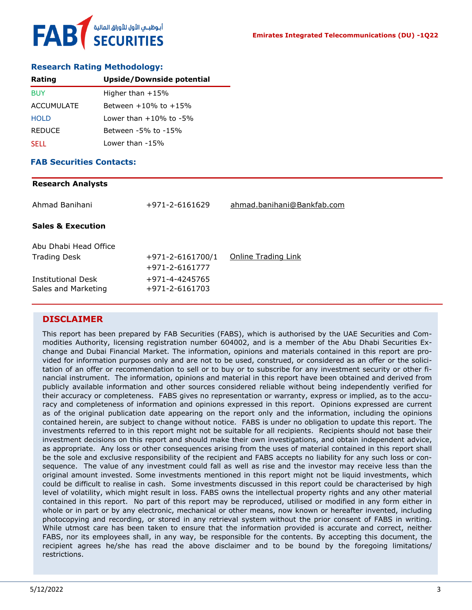

## **Research Rating Methodology:**

| Rating            | Upside/Downside potential    |
|-------------------|------------------------------|
| <b>BUY</b>        | Higher than $+15%$           |
| <b>ACCUMULATE</b> | Between $+10\%$ to $+15\%$   |
| <b>HOLD</b>       | Lower than $+10\%$ to $-5\%$ |
| <b>REDUCE</b>     | Between -5% to -15%          |
| <b>SELL</b>       | Lower than -15%              |

### **FAB Securities Contacts:**

#### **Research Analysts**

| Ahmad Banihani                            | +971-2-6161629                   | ahmad.banihani@Bankfab.com |
|-------------------------------------------|----------------------------------|----------------------------|
| <b>Sales &amp; Execution</b>              |                                  |                            |
| Abu Dhabi Head Office                     |                                  |                            |
| <b>Trading Desk</b>                       | $+971 - 2 - 6161700/1$           | Online Trading Link        |
|                                           | +971-2-6161777                   |                            |
| Institutional Desk<br>Sales and Marketing | +971-4-4245765<br>+971-2-6161703 |                            |

# **DISCLAIMER**

This report has been prepared by FAB Securities (FABS), which is authorised by the UAE Securities and Commodities Authority, licensing registration number 604002, and is a member of the Abu Dhabi Securities Exchange and Dubai Financial Market. The information, opinions and materials contained in this report are provided for information purposes only and are not to be used, construed, or considered as an offer or the solicitation of an offer or recommendation to sell or to buy or to subscribe for any investment security or other financial instrument. The information, opinions and material in this report have been obtained and derived from publicly available information and other sources considered reliable without being independently verified for their accuracy or completeness. FABS gives no representation or warranty, express or implied, as to the accuracy and completeness of information and opinions expressed in this report. Opinions expressed are current as of the original publication date appearing on the report only and the information, including the opinions contained herein, are subject to change without notice. FABS is under no obligation to update this report. The investments referred to in this report might not be suitable for all recipients. Recipients should not base their investment decisions on this report and should make their own investigations, and obtain independent advice, as appropriate. Any loss or other consequences arising from the uses of material contained in this report shall be the sole and exclusive responsibility of the recipient and FABS accepts no liability for any such loss or consequence. The value of any investment could fall as well as rise and the investor may receive less than the original amount invested. Some investments mentioned in this report might not be liquid investments, which could be difficult to realise in cash. Some investments discussed in this report could be characterised by high level of volatility, which might result in loss. FABS owns the intellectual property rights and any other material contained in this report. No part of this report may be reproduced, utilised or modified in any form either in whole or in part or by any electronic, mechanical or other means, now known or hereafter invented, including photocopying and recording, or stored in any retrieval system without the prior consent of FABS in writing. While utmost care has been taken to ensure that the information provided is accurate and correct, neither FABS, nor its employees shall, in any way, be responsible for the contents. By accepting this document, the recipient agrees he/she has read the above disclaimer and to be bound by the foregoing limitations/ restrictions.